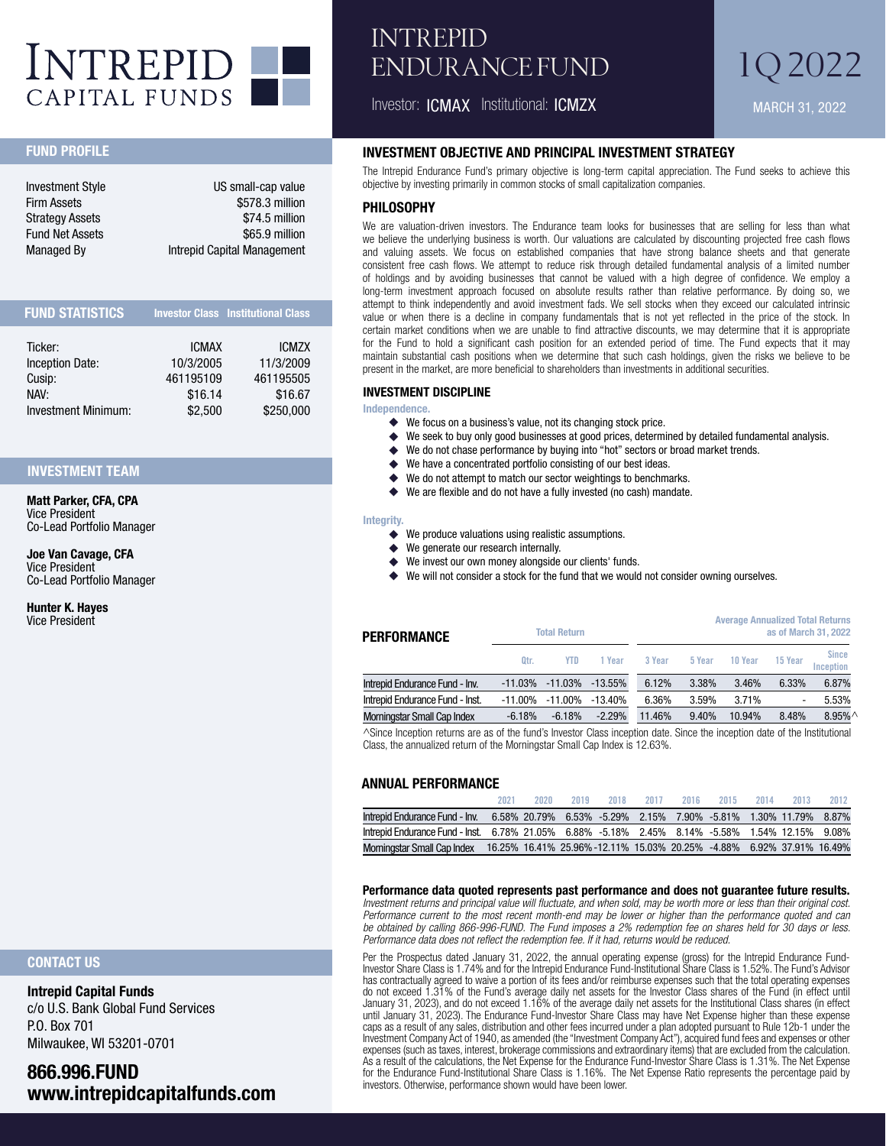

## INTREPID ENDURANCE FUND

Investor: ICMAX Institutional: ICMZX

# 1Q 2022

MARCH 31, 2022

#### FUND PROFILE

| <b>Investment Style</b> | US small-cap value          |
|-------------------------|-----------------------------|
| <b>Firm Assets</b>      | \$578.3 million             |
| <b>Strategy Assets</b>  | \$74.5 million              |
| <b>Fund Net Assets</b>  | \$65.9 million              |
| <b>Managed By</b>       | Intrepid Capital Management |

| <b>FUND STATISTICS</b> |                      | <b>Investor Class Institutional Class</b> |
|------------------------|----------------------|-------------------------------------------|
| Ticker:                | <b>ICMAX</b>         | <b>ICMZX</b>                              |
| <b>Inception Date:</b> | 10/3/2005            | 11/3/2009                                 |
| Cusip:<br>NAV:         | 461195109<br>\$16.14 | 461195505<br>\$16.67                      |
| Investment Minimum:    | \$2,500              | \$250,000                                 |

#### INVESTMENT TEAM

Matt Parker, CFA, CPA Vice President Co-Lead Portfolio Manager

Joe Van Cavage, CFA Vice President Co-Lead Portfolio Manager

Hunter K. Hayes Vice President

#### INVESTMENT OBJECTIVE AND PRINCIPAL INVESTMENT STRATEGY

The Intrepid Endurance Fund's primary objective is long-term capital appreciation. The Fund seeks to achieve this objective by investing primarily in common stocks of small capitalization companies.

#### PHII OSOPHY

We are valuation-driven investors. The Endurance team looks for businesses that are selling for less than what we believe the underlying business is worth. Our valuations are calculated by discounting projected free cash flows and valuing assets. We focus on established companies that have strong balance sheets and that generate consistent free cash flows. We attempt to reduce risk through detailed fundamental analysis of a limited number of holdings and by avoiding businesses that cannot be valued with a high degree of confidence. We employ a long-term investment approach focused on absolute results rather than relative performance. By doing so, we attempt to think independently and avoid investment fads. We sell stocks when they exceed our calculated intrinsic value or when there is a decline in company fundamentals that is not yet reflected in the price of the stock. In certain market conditions when we are unable to find attractive discounts, we may determine that it is appropriate for the Fund to hold a significant cash position for an extended period of time. The Fund expects that it may maintain substantial cash positions when we determine that such cash holdings, given the risks we believe to be present in the market, are more beneficial to shareholders than investments in additional securities.

#### INVESTMENT DISCIPLINE

Independence.

- ◆ We focus on a business's value, not its changing stock price.<br>◆ We seek to buy only good businesses at good prices, determi
- ◆ We seek to buy only good businesses at good prices, determined by detailed fundamental analysis.<br>◆ We do not chase performance by buying into "hot" sectors or broad market trends.
- We do not chase performance by buying into "hot" sectors or broad market trends.
- ◆ We have a concentrated portfolio consisting of our best ideas.
- ◆ We do not attempt to match our sector weightings to benchmarks.
- **٠** We are flexible and do not have a fully invested (no cash) mandate.

#### Integrity.

- **٠** We produce valuations using realistic assumptions.
- **٠** We generate our research internally.
- We invest our own money alongside our clients' funds.
- We will not consider a stock for the fund that we would not consider owning ourselves.

| <b>PERFORMANCE</b>                 | <b>Total Return</b> |          |           |        |        | <b>Average Annualized Total Returns</b> |                          | as of March 31, 2022      |
|------------------------------------|---------------------|----------|-----------|--------|--------|-----------------------------------------|--------------------------|---------------------------|
|                                    | Otr.                | YTD      | 1 Year    | 3 Year | 5 Year | 10 Year                                 | 15 Year                  | <b>Since</b><br>Inception |
| Intrepid Endurance Fund - Inv.     | $-11.03\%$          | -11.03%  | $-13.55%$ | 6.12%  | 3.38%  | 3.46%                                   | 6.33%                    | 6.87%                     |
| Intrepid Endurance Fund - Inst.    | $-11.00\%$          | -11.00%  | $-13.40%$ | 6.36%  | 3.59%  | 3.71%                                   | $\overline{\phantom{a}}$ | 5.53%                     |
| <b>Morningstar Small Cap Index</b> | $-6.18%$            | $-6.18%$ | $-2.29%$  | 11.46% | 9.40%  | 10.94%                                  | 8.48%                    | $8.95\%$                  |

^Since Inception returns are as of the fund's Investor Class inception date. Since the inception date of the Institutional Class, the annualized return of the Morningstar Small Cap Index is 12.63%.

#### ANNUAL PERFORMANCE

|                                                                                                 | 2021 | 2020 | 2019 | 2018 | 2017 | 2016 | 2015                                                                 | 2014 | 2013 | 2012 |
|-------------------------------------------------------------------------------------------------|------|------|------|------|------|------|----------------------------------------------------------------------|------|------|------|
| Intrepid Endurance Fund - Inv.                                                                  |      |      |      |      |      |      | 6.58% 20.79% 6.53% -5.29% 2.15% 7.90% -5.81% 1.30% 11.79% 8.87%      |      |      |      |
| lntrepid Endurance Fund - Inst. 6.78% 21.05% 6.88% -5.18% 2.45% 8.14% -5.58% 1.54% 12.15% 9.08% |      |      |      |      |      |      |                                                                      |      |      |      |
| Morningstar Small Cap Index                                                                     |      |      |      |      |      |      | 16.25% 16.41% 25.96%-12.11% 15.03% 20.25% -4.88% 6.92% 37.91% 16.49% |      |      |      |

#### **Performance data quoted represents past performance and does not guarantee future results.**

*Investment returns and principal value will fluctuate, and when sold, may be worth more or less than their original cost. Performance current to the most recent month-end may be lower or higher than the performance quoted and can be obtained by calling 866-996-FUND. The Fund imposes a 2% redemption fee on shares held for 30 days or less. Performance data does not reflect the redemption fee. If it had, returns would be reduced.*

Per the Prospectus dated January 31, 2022, the annual operating expense (gross) for the Intrepid Endurance Fund-Investor Share Class is 1.74% and for the Intrepid Endurance Fund-Institutional Share Class is 1.52%. The Fund's Advisor has contractually agreed to waive a portion of its fees and/or reimburse expenses such that the total operating expenses do not exceed 1.31% of the Fund's average daily net assets for the Investor Class shares of the Fund (in effect until January 31, 2023), and do not exceed 1.16% of the average daily net assets for the Institutional Class shares (in effect until January 31, 2023). The Endurance Fund-Investor Share Class may have Net Expense higher than these expense caps as a result of any sales, distribution and other fees incurred under a plan adopted pursuant to Rule 12b-1 under the Investment Company Act of 1940, as amended (the "Investment Company Act"), acquired fund fees and expenses or other expenses (such as taxes, interest, brokerage commissions and extraordinary items) that are excluded from the calculation. As a result of the calculations, the Net Expense for the Endurance Fund-Investor Share Class is 1.31%. The Net Expense for the Endurance Fund-Institutional Share Class is 1.16%. The Net Expense Ratio represents the percentage paid by investors. Otherwise, performance shown would have been lower.

#### CONTACT US

Intrepid Capital Funds c/o U.S. Bank Global Fund Services P.O. Box 701 Milwaukee, WI 53201-0701

866.996.FUND www.intrepidcapitalfunds.com